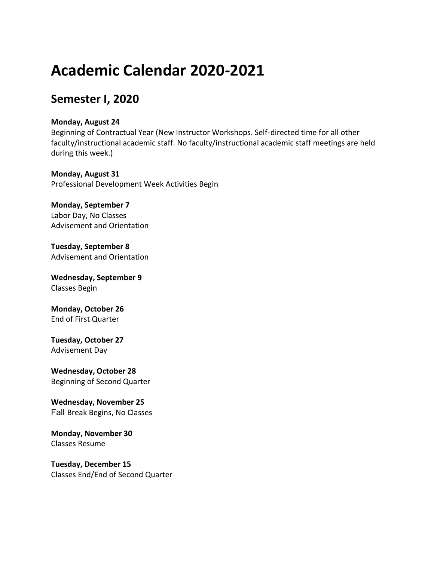# **Academic Calendar 2020-2021**

## **Semester I, 2020**

#### **Monday, August 24**

Beginning of Contractual Year (New Instructor Workshops. Self-directed time for all other faculty/instructional academic staff. No faculty/instructional academic staff meetings are held during this week.)

**Monday, August 31**  Professional Development Week Activities Begin

**Monday, September 7**  Labor Day, No Classes Advisement and Orientation

**Tuesday, September 8**  Advisement and Orientation

**Wednesday, September 9**  Classes Begin

**Monday, October 26**  End of First Quarter

**Tuesday, October 27**  Advisement Day

**Wednesday, October 28**  Beginning of Second Quarter

**Wednesday, November 25**  Fall Break Begins, No Classes

**Monday, November 30**  Classes Resume

**Tuesday, December 15**  Classes End/End of Second Quarter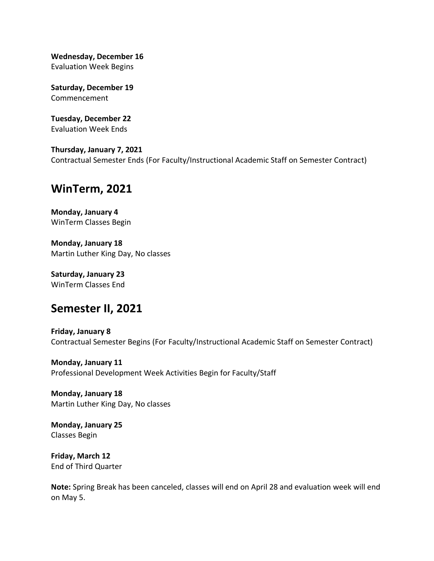**Wednesday, December 16** Evaluation Week Begins

**Saturday, December 19** Commencement

**Tuesday, December 22** Evaluation Week Ends

**Thursday, January 7, 2021** Contractual Semester Ends (For Faculty/Instructional Academic Staff on Semester Contract)

#### **WinTerm, 2021**

**Monday, January 4** WinTerm Classes Begin

**Monday, January 18** Martin Luther King Day, No classes

**Saturday, January 23** WinTerm Classes End

#### **Semester II, 2021**

**Friday, January 8** Contractual Semester Begins (For Faculty/Instructional Academic Staff on Semester Contract)

**Monday, January 11** Professional Development Week Activities Begin for Faculty/Staff

**Monday, January 18** Martin Luther King Day, No classes

**Monday, January 25** Classes Begin

**Friday, March 12** End of Third Quarter

**Note:** Spring Break has been canceled, classes will end on April 28 and evaluation week will end on May 5.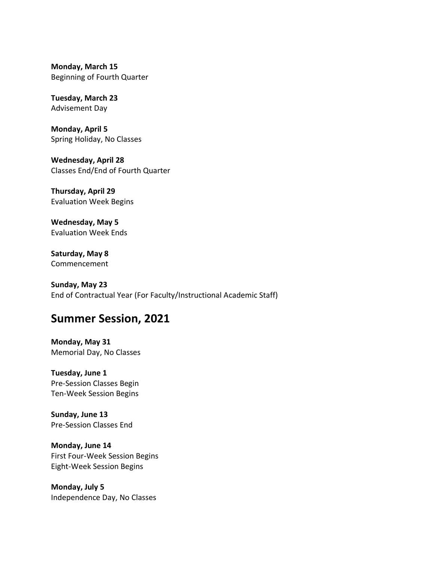**Monday, March 15** Beginning of Fourth Quarter

**Tuesday, March 23** Advisement Day

**Monday, April 5** Spring Holiday, No Classes

**Wednesday, April 28** Classes End/End of Fourth Quarter

**Thursday, April 29** Evaluation Week Begins

**Wednesday, May 5** Evaluation Week Ends

**Saturday, May 8** Commencement

**Sunday, May 23** End of Contractual Year (For Faculty/Instructional Academic Staff)

### **Summer Session, 2021**

**Monday, May 31** Memorial Day, No Classes

**Tuesday, June 1** Pre-Session Classes Begin Ten-Week Session Begins

**Sunday, June 13** Pre-Session Classes End

**Monday, June 14** First Four-Week Session Begins Eight-Week Session Begins

**Monday, July 5** Independence Day, No Classes